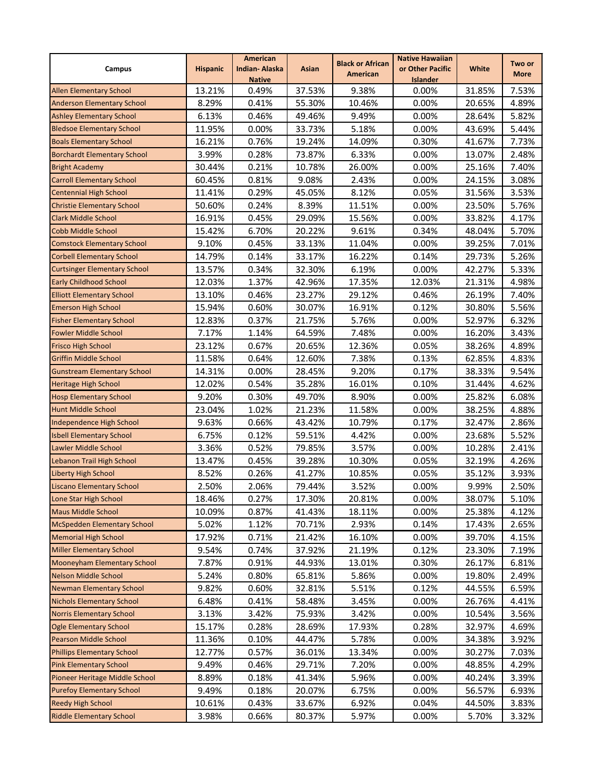| Campus                              | <b>Hispanic</b> | <b>American</b><br><b>Indian-Alaska</b> | Asian  | <b>Black or African</b> | <b>Native Hawaiian</b><br>or Other Pacific | <b>White</b> | Two or      |
|-------------------------------------|-----------------|-----------------------------------------|--------|-------------------------|--------------------------------------------|--------------|-------------|
|                                     |                 | <b>Native</b>                           |        | American                | <b>Islander</b>                            |              | <b>More</b> |
| <b>Allen Elementary School</b>      | 13.21%          | 0.49%                                   | 37.53% | 9.38%                   | 0.00%                                      | 31.85%       | 7.53%       |
| <b>Anderson Elementary School</b>   | 8.29%           | 0.41%                                   | 55.30% | 10.46%                  | 0.00%                                      | 20.65%       | 4.89%       |
| <b>Ashley Elementary School</b>     | 6.13%           | 0.46%                                   | 49.46% | 9.49%                   | 0.00%                                      | 28.64%       | 5.82%       |
| <b>Bledsoe Elementary School</b>    | 11.95%          | 0.00%                                   | 33.73% | 5.18%                   | 0.00%                                      | 43.69%       | 5.44%       |
| <b>Boals Elementary School</b>      | 16.21%          | 0.76%                                   | 19.24% | 14.09%                  | 0.30%                                      | 41.67%       | 7.73%       |
| <b>Borchardt Elementary School</b>  | 3.99%           | 0.28%                                   | 73.87% | 6.33%                   | 0.00%                                      | 13.07%       | 2.48%       |
| <b>Bright Academy</b>               | 30.44%          | 0.21%                                   | 10.78% | 26.00%                  | 0.00%                                      | 25.16%       | 7.40%       |
| <b>Carroll Elementary School</b>    | 60.45%          | 0.81%                                   | 9.08%  | 2.43%                   | 0.00%                                      | 24.15%       | 3.08%       |
| <b>Centennial High School</b>       | 11.41%          | 0.29%                                   | 45.05% | 8.12%                   | 0.05%                                      | 31.56%       | 3.53%       |
| <b>Christie Elementary School</b>   | 50.60%          | 0.24%                                   | 8.39%  | 11.51%                  | 0.00%                                      | 23.50%       | 5.76%       |
| <b>Clark Middle School</b>          | 16.91%          | 0.45%                                   | 29.09% | 15.56%                  | 0.00%                                      | 33.82%       | 4.17%       |
| <b>Cobb Middle School</b>           | 15.42%          | 6.70%                                   | 20.22% | 9.61%                   | 0.34%                                      | 48.04%       | 5.70%       |
| <b>Comstock Elementary School</b>   | 9.10%           | 0.45%                                   | 33.13% | 11.04%                  | 0.00%                                      | 39.25%       | 7.01%       |
| <b>Corbell Elementary School</b>    | 14.79%          | 0.14%                                   | 33.17% | 16.22%                  | 0.14%                                      | 29.73%       | 5.26%       |
| <b>Curtsinger Elementary School</b> | 13.57%          | 0.34%                                   | 32.30% | 6.19%                   | 0.00%                                      | 42.27%       | 5.33%       |
| <b>Early Childhood School</b>       | 12.03%          | 1.37%                                   | 42.96% | 17.35%                  | 12.03%                                     | 21.31%       | 4.98%       |
| <b>Elliott Elementary School</b>    | 13.10%          | 0.46%                                   | 23.27% | 29.12%                  | 0.46%                                      | 26.19%       | 7.40%       |
| <b>Emerson High School</b>          | 15.94%          | 0.60%                                   | 30.07% | 16.91%                  | 0.12%                                      | 30.80%       | 5.56%       |
| <b>Fisher Elementary School</b>     | 12.83%          | 0.37%                                   | 21.75% | 5.76%                   | 0.00%                                      | 52.97%       | 6.32%       |
| <b>Fowler Middle School</b>         | 7.17%           | 1.14%                                   | 64.59% | 7.48%                   | 0.00%                                      | 16.20%       | 3.43%       |
| <b>Frisco High School</b>           | 23.12%          | 0.67%                                   | 20.65% | 12.36%                  | 0.05%                                      | 38.26%       | 4.89%       |
| <b>Griffin Middle School</b>        | 11.58%          | 0.64%                                   | 12.60% | 7.38%                   | 0.13%                                      | 62.85%       | 4.83%       |
| <b>Gunstream Elementary School</b>  | 14.31%          | 0.00%                                   | 28.45% | 9.20%                   | 0.17%                                      | 38.33%       | 9.54%       |
| <b>Heritage High School</b>         | 12.02%          | 0.54%                                   | 35.28% | 16.01%                  | 0.10%                                      | 31.44%       | 4.62%       |
| <b>Hosp Elementary School</b>       | 9.20%           | 0.30%                                   | 49.70% | 8.90%                   | 0.00%                                      | 25.82%       | 6.08%       |
| <b>Hunt Middle School</b>           | 23.04%          | 1.02%                                   | 21.23% | 11.58%                  | 0.00%                                      | 38.25%       | 4.88%       |
| Independence High School            | 9.63%           | 0.66%                                   | 43.42% | 10.79%                  | 0.17%                                      | 32.47%       | 2.86%       |
| <b>Isbell Elementary School</b>     | 6.75%           | 0.12%                                   | 59.51% | 4.42%                   | 0.00%                                      | 23.68%       | 5.52%       |
| Lawler Middle School                | 3.36%           | 0.52%                                   | 79.85% | 3.57%                   | 0.00%                                      | 10.28%       | 2.41%       |
| Lebanon Trail High School           | 13.47%          | 0.45%                                   | 39.28% | 10.30%                  | 0.05%                                      | 32.19%       | 4.26%       |
| <b>Liberty High School</b>          | 8.52%           | 0.26%                                   | 41.27% | 10.85%                  | 0.05%                                      | 35.12%       | 3.93%       |
| <b>Liscano Elementary School</b>    | 2.50%           | 2.06%                                   | 79.44% | 3.52%                   | 0.00%                                      | 9.99%        | 2.50%       |
| Lone Star High School               | 18.46%          | 0.27%                                   | 17.30% | 20.81%                  | 0.00%                                      | 38.07%       | 5.10%       |
| <b>Maus Middle School</b>           | 10.09%          | 0.87%                                   | 41.43% | 18.11%                  | 0.00%                                      | 25.38%       | 4.12%       |
| <b>McSpedden Elementary School</b>  | 5.02%           | 1.12%                                   | 70.71% | 2.93%                   | 0.14%                                      | 17.43%       | 2.65%       |
| <b>Memorial High School</b>         | 17.92%          | 0.71%                                   | 21.42% | 16.10%                  | 0.00%                                      | 39.70%       | 4.15%       |
| <b>Miller Elementary School</b>     | 9.54%           | 0.74%                                   | 37.92% | 21.19%                  | 0.12%                                      | 23.30%       | 7.19%       |
| Mooneyham Elementary School         | 7.87%           | 0.91%                                   | 44.93% | 13.01%                  | 0.30%                                      | 26.17%       | 6.81%       |
| <b>Nelson Middle School</b>         | 5.24%           | 0.80%                                   | 65.81% | 5.86%                   | 0.00%                                      | 19.80%       | 2.49%       |
| Newman Elementary School            | 9.82%           | 0.60%                                   | 32.81% | 5.51%                   | 0.12%                                      | 44.55%       | 6.59%       |
| <b>Nichols Elementary School</b>    | 6.48%           | 0.41%                                   | 58.48% | 3.45%                   | 0.00%                                      | 26.76%       | 4.41%       |
| <b>Norris Elementary School</b>     | 3.13%           | 3.42%                                   | 75.93% | 3.42%                   | 0.00%                                      | 10.54%       | 3.56%       |
| <b>Ogle Elementary School</b>       | 15.17%          | 0.28%                                   | 28.69% | 17.93%                  | 0.28%                                      | 32.97%       | 4.69%       |
| <b>Pearson Middle School</b>        | 11.36%          | 0.10%                                   | 44.47% | 5.78%                   | 0.00%                                      | 34.38%       | 3.92%       |
| Phillips Elementary School          | 12.77%          | 0.57%                                   | 36.01% | 13.34%                  | 0.00%                                      | 30.27%       | 7.03%       |
| <b>Pink Elementary School</b>       | 9.49%           | 0.46%                                   | 29.71% | 7.20%                   | 0.00%                                      | 48.85%       | 4.29%       |
| Pioneer Heritage Middle School      | 8.89%           | 0.18%                                   | 41.34% | 5.96%                   | 0.00%                                      | 40.24%       | 3.39%       |
| <b>Purefoy Elementary School</b>    | 9.49%           | 0.18%                                   | 20.07% | 6.75%                   | 0.00%                                      | 56.57%       | 6.93%       |
| <b>Reedy High School</b>            | 10.61%          | 0.43%                                   | 33.67% | 6.92%                   | 0.04%                                      | 44.50%       | 3.83%       |
| <b>Riddle Elementary School</b>     | 3.98%           | 0.66%                                   | 80.37% | 5.97%                   | 0.00%                                      | 5.70%        | 3.32%       |